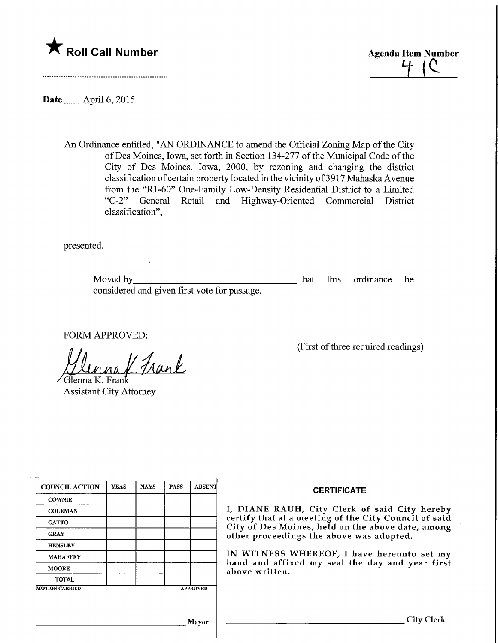

Roll Call Number<br>Agenda Item Number<br>Agenda Item Number<br>H | C

Date .April.6,.2015,

An Ordinance entitled, "AN ORDINANCE to amend the Official Zoning Map of the City ofDes Moines, Iowa, set forth in Section 134-277 of the Municipal Code of the City of Des Moines, Iowa, 2000, by rezoning and changing the district classification of certain property located in the vicinity of 3917 Mahaska Avenue from the "Rl-60" One-Family Low-Density Residential District to a Limited "C-2" General Retail and Highway-Oriented Commercial District classification",

presented.

Moved by that this ordinance be considered and given first vote for passage.

FORM APPROVED:

naf. Frank

/Glenna K. Fra Assistant City Attorney

(First of three required readings)

| <b>COUNCIL ACTION</b> | <b>YEAS</b> | <b>NAYS</b> | <b>PASS</b> | <b>ABSENT</b>   | <b>CERTIFICATE</b>                                                                                                                                     |
|-----------------------|-------------|-------------|-------------|-----------------|--------------------------------------------------------------------------------------------------------------------------------------------------------|
| <b>COWNIE</b>         |             |             |             |                 |                                                                                                                                                        |
| <b>COLEMAN</b>        |             |             |             |                 | I, DIANE RAUH, City Clerk of said City hereby                                                                                                          |
| <b>GATTO</b>          |             |             |             |                 | certify that at a meeting of the City Council of said<br>City of Des Moines, held on the above date, among<br>other proceedings the above was adopted. |
| <b>GRAY</b>           |             |             |             |                 |                                                                                                                                                        |
| <b>HENSLEY</b>        |             |             |             |                 |                                                                                                                                                        |
| <b>MAHAFFEY</b>       |             |             |             |                 | IN WITNESS WHEREOF, I have hereunto set my<br>hand and affixed my seal the day and year first<br>above written.                                        |
| <b>MOORE</b>          |             |             |             |                 |                                                                                                                                                        |
| <b>TOTAL</b>          |             |             |             |                 |                                                                                                                                                        |
| <b>MOTION CARRIED</b> |             |             |             | <b>APPROVED</b> |                                                                                                                                                        |
|                       |             |             |             |                 |                                                                                                                                                        |
|                       |             |             |             | Mayor           | City Clerk                                                                                                                                             |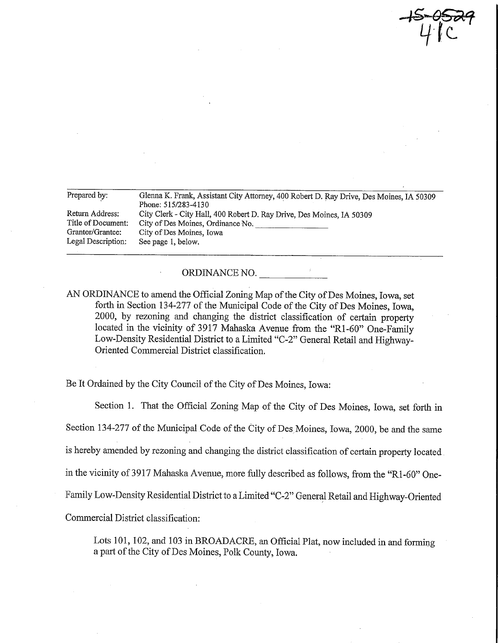Prepared by: Glenna K. Frank, Assistant City Attorney, 400 Robert D. Ray Drive, Des Moines, IA 50309 Phone: 515/283-4130 Return Address: City Clerk - City Hall, 400 Robert D. Ray Drive, Des Moines, IA 50309<br>Title of Document: City of Des Moines, Ordinance No. Title of Document: City of Des Moines, Ordinance No. \_\_<br>Grantor/Grantee: City of Des Moines. Iowa Grantor/Grantee: City of Des Moines, Iowa<br>Legal Description: See page 1, below. See page 1, below.

 $4^{\circ}$ c

## ORDINANCE NO.

AN ORDINANCE to amend the Official Zoning Map of the City of Des Moines, Iowa, set forth in Section 134-277 of the Municipal Code of the City of Des Moines, Iowa, 2000, by rezoniag and changing the district classification of certain property located in the vicinity of 3917 Mahaska Avenue from the "Rl-60" One-Family Low-Density Residential District to a Limited "C-2" General Retail and Highway-Oriented Commercial District classification.

Be It Ordained by the City Council of the City of Des Moines, Iowa:

Section 1. That the Official Zoning Map of the City of Des Moines, Iowa, set forth in Section 134-277 of the Municipal Code of the City of Des Moines, Iowa, 2000, be and the same is hereby amended by rezoning and changing the district classification of certain property located in the vicinity of 3917 Mahaska Avenue, more fully described as follows, from the "Rl-60" One-Family Low-Density Residential District to a Limited "C-2" General Retail and Highway-Oriented Commercial District classification:

Lots 101, 102, and 103 in BROADACRE, an Official Plat, now included in and forming a part of the City of Des Moines, Polk County, Iowa.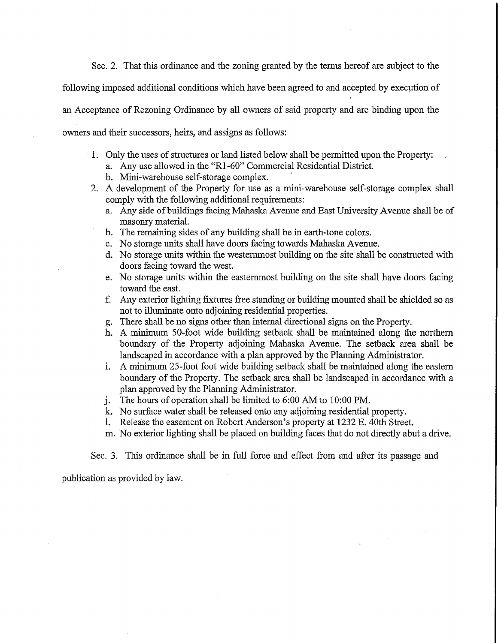Sec. 2. That this ordinance and the zoning granted by the terms hereof are subject to the

following imposed additional conditions which have been agreed to and accepted by execution of

an Acceptance of Rezoning Ordinance by all owners of said property and are binding upon the

owners and their successors, heirs, and assigns as follows:

- 1. Only the uses of structures or land listed below shall be permitted upon the Property:
	- a. Any use allowed in the "Rl -60" Commercial Residential District.
	- b. Mini-warehouse self-storage complex.
- 2. A development of the Property for use as a mini-warehouse self-storage complex shall comply with the following additional requirements:
	- a. Any side of buildings facing Mahaska Avenue and East University Avenue shall be of masonry material.
	- b. The remaining sides of any building shall be in earth-tone colors.
	- c. No storage units shall have doors facing towards Mahaska Avenue.
	- d. No storage units within the westernmost building on the site shall be constructed with doors facing toward the west.
	- e. No storage units within the eastemmost building on the site shall have doors facing toward the east.
	- f. Any exterior lighting fixtures free standing or building mounted shall be shielded so as not to illuminate onto adjoining residential properties.
	- g. There shall be no signs other than internal directional signs on the Property.
	- h. A minimum 50-foot wide building setback shall be maintained along the northern boundary of the Property adjoining Mahaska Avenue. The setback area shall be landscaped in accordance with a plan approved by the Planning Administrator.
	- i. A minimum 25-foot foot wide building setback shall be maintained along the eastern boundary of the Property. The setback area shall be landscaped in accordance with a plan approved by the Planning Administrator.
	- j. The hours of operation shall be limited to 6:00 AM to 10:00 PM.
	- k. No surface water shall be released onto any adjoining residential property.
	- 1. Release the easement on Robert Anderson's property at 1232 E. 40th Street.
	- m. No exterior lighting shall be placed on building faces that do not directly abut a drive.

## Sec. 3. This ordinance shall be in full force and effect from and after its passage and

publication as provided by law.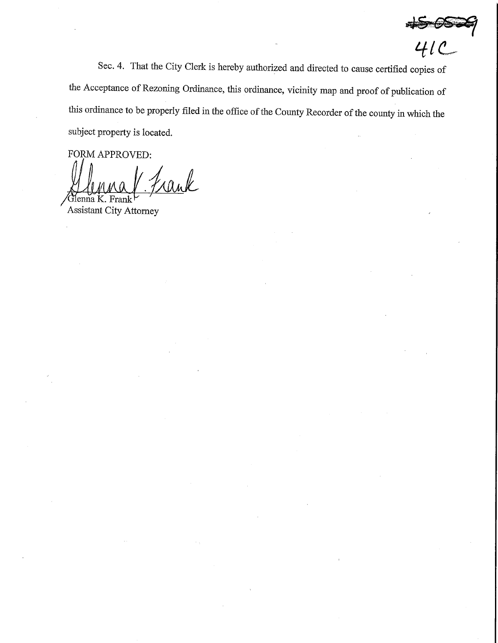$\overline{41}$ 

Sec. 4. That the City Clerk is hereby authorized and directed to cause certified copies of the Acceptance of Rezoning Ordinance, this ordinance, vicinity map and proof of publication of this ordinance to be properly filed in the office of the County Recorder of the county in which the subject property is located.

FORM APPROVED:

ank

 $\mu$ Uluma IX. Frank Assistant City Attorney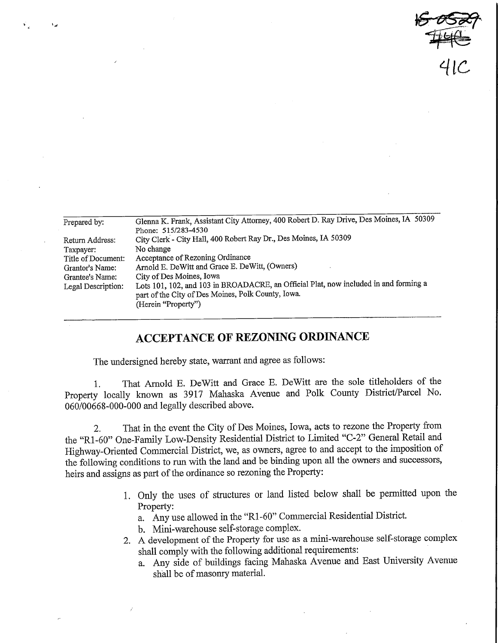$50529$  $4/c$ 

| Prepared by:       | Glenna K. Frank, Assistant City Attorney, 400 Robert D. Ray Drive, Des Moines, IA 50309 |  |  |  |  |
|--------------------|-----------------------------------------------------------------------------------------|--|--|--|--|
|                    | Phone: 515/283-4530                                                                     |  |  |  |  |
| Return Address:    | City Clerk - City Hall, 400 Robert Ray Dr., Des Moines, IA 50309                        |  |  |  |  |
| Taxpayer:          | No change                                                                               |  |  |  |  |
| Title of Document: | Acceptance of Rezoning Ordinance                                                        |  |  |  |  |
| Grantor's Name:    | Arnold E. DeWitt and Grace E. DeWitt, (Owners)                                          |  |  |  |  |
| Grantee's Name:    | City of Des Moines, Iowa                                                                |  |  |  |  |
| Legal Description: | Lots 101, 102, and 103 in BROADACRE, an Official Plat, now included in and forming a    |  |  |  |  |
|                    | part of the City of Des Moines, Polk County, Iowa.                                      |  |  |  |  |
|                    | (Herein "Property")                                                                     |  |  |  |  |
|                    |                                                                                         |  |  |  |  |

## ACCEPTANCE OF REZONING ORDINANCE

The undersigned hereby state, warrant and agree as follows:

1. That Arnold E. DeWitt and Grace E. DeWitt are the sole titleholders of the Property locally known as 3917 Mahaska Avenue and Polk County District/Parcel No. 060/00668-000-000 and legally described above.

2. That in the event the City of Des Moines, Iowa, acts to rezone the Property from the "Rl-60" One-Family Low-Density Residential District to Limited "C-2" General Retail and Highway-Oriented Commercial District, we, as owners, agree to and accept to the imposition of the following conditions to run with the land and be binding upon all the owners and successors, heirs and assigns as part of the ordinance so rezoning the Property:

- 1. Only the uses of structures or land listed below shall be permitted upon the Property:
	- a. Any use allowed in the "Rl -60" Commercial Residential District.
	- b. Mini-warehouse self-storage complex.
- 2. A development of the Property for use as a mini-warehouse self-storage complex shall comply with the following additional requirements:
	- a. Any side of buildings facing Mahaska Avenue and East University Avenue shall be of masonry material.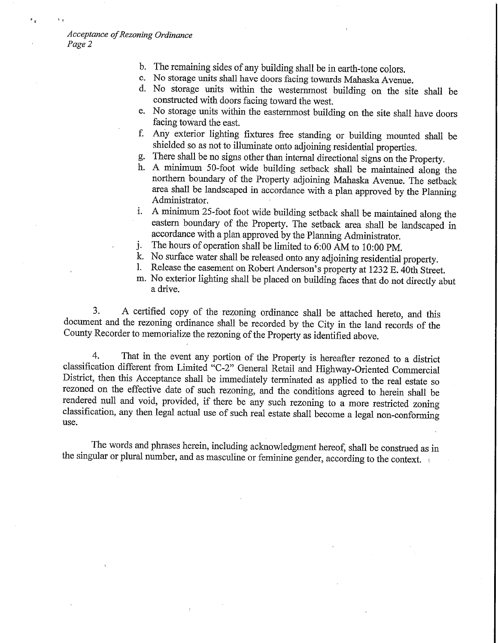- b. The remaining sides of any building shall be in earth-tone colors.
- c. No storage units shall have doors facing towards Mahaska Avenue.
- d. No storage units within the westernmost building on the site shall be constructed with doors facing toward the west.
- e. No storage units within the eastemmost building on the site shall have doors facing toward the east.
- f. Any exterior lighting fixtures free standing or building mounted shall be shielded so as not to illuminate onto adjoining residential properties.
- g. There shall be no signs other than internal directional signs on the Property.
- h. A minimum 50-foot wide building setback shall be maintained along the northern boundary of the Property adjoining Mahaska Avenue. The setback area shall be landscaped in accordance with a plan approved by the Planning Administrator.
- i. A minimum 25-foot foot wide building setback shall be maintained along the eastern boundary of the Property. The setback area shall be landscaped in accordance with a plan approved by the Planning Administrator.
- j. The hours of operation shall be limited to 6:00 AM to 10:00 PM.
- k. No surface water shall be released onto any adjoining residential property.<br>1. Release the easement on Robert Anderson's property at 1232 E 40th Street
- Release the easement on Robert Anderson's property at 1232 E. 40th Street.
- m. No exterior lighting shall be placed on building faces that do not directly abut a drive.

3. A certified copy of the rezoning ordinance shall be attached hereto, and this document and the rezoning ordinance shall be recorded by the City in the land records of the County Recorder to memorialize the rezoning of the Property as identified above.

4. That in the event any portion of the Property is hereafter rezoned to a district classification different from Limited "C-2" General Retail and Highway-Oriented Commercial District, then this Acceptance shall be immediately terminated as applied to the real estate so rezoned on the effective date of such rezoning, and the conditions agreed to herein shall be rendered null and void, provided, if there be any such rezoning to a more restricted zoning classification, any then legal actual use of such real estate shall become a legal non-conforming use.

The words and phrases herein, including acknowledgment hereof, shall be construed as in the singular or plural number, and as masculine or feminine gender, according to the context.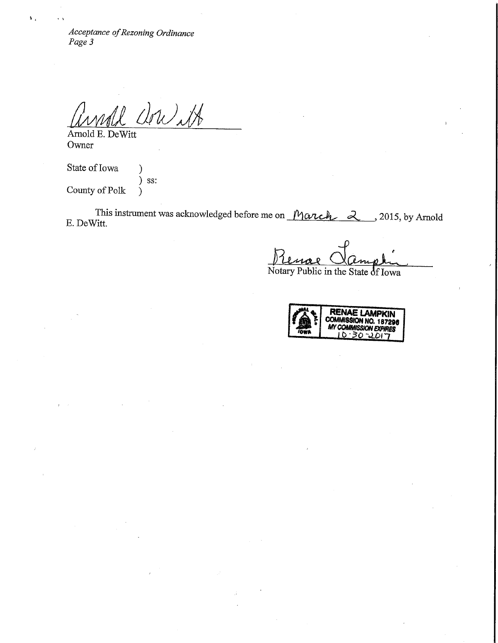Acceptance of Rezoning Ordinance<br>Page 3

Annald Clore 1A

Owner

 $\mathbf{M}_{\mathrm{A}}$ 

State of Iowa (1) ) ss:<br>) County of Polk )

This instrument was acknowledged before me on  $\text{March} \quad 2, 2015$ , by Arnold E. DeWitt.

Notary Public in the State 6f Iowa

**REIVAE LAMPKIN** COMMISSION NO. 18729S WCOAWISSION EXPIRES' **TOWE** <u>J'50 ZOIJ</u>